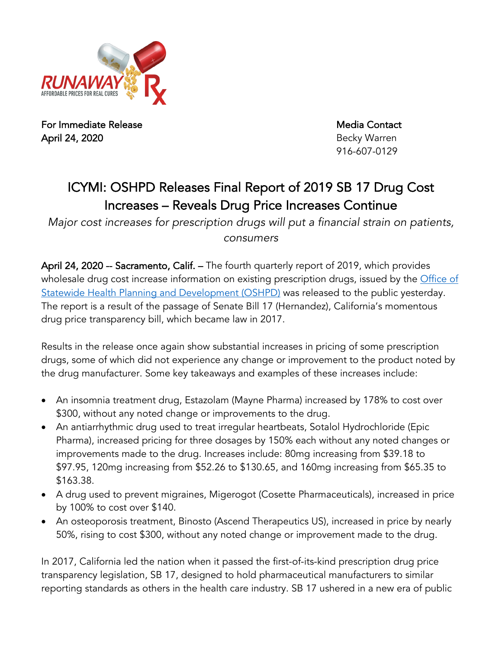

For Immediate Release Media Contact April 24, 2020 **Becky Warren** Becky Warren

916-607-0129

## ICYMI: OSHPD Releases Final Report of 2019 SB 17 Drug Cost Increases – Reveals Drug Price Increases Continue

*Major cost increases for prescription drugs will put a financial strain on patients, consumers*

April 24, 2020 -- Sacramento, Calif. – The fourth quarterly report of 2019, which provides wholesale drug cost increase information on existing prescription drugs, issued by the Office of Statewide Health Planning and Development (OSHPD) was released to the public yesterday. The report is a result of the passage of Senate Bill 17 (Hernandez), California's momentous drug price transparency bill, which became law in 2017.

Results in the release once again show substantial increases in pricing of some prescription drugs, some of which did not experience any change or improvement to the product noted by the drug manufacturer. Some key takeaways and examples of these increases include:

- An insomnia treatment drug, Estazolam (Mayne Pharma) increased by 178% to cost over \$300, without any noted change or improvements to the drug.
- An antiarrhythmic drug used to treat irregular heartbeats, Sotalol Hydrochloride (Epic Pharma), increased pricing for three dosages by 150% each without any noted changes or improvements made to the drug. Increases include: 80mg increasing from \$39.18 to \$97.95, 120mg increasing from \$52.26 to \$130.65, and 160mg increasing from \$65.35 to \$163.38.
- A drug used to prevent migraines, Migerogot (Cosette Pharmaceuticals), increased in price by 100% to cost over \$140.
- An osteoporosis treatment, Binosto (Ascend Therapeutics US), increased in price by nearly 50%, rising to cost \$300, without any noted change or improvement made to the drug.

In 2017, California led the nation when it passed the first-of-its-kind prescription drug price transparency legislation, SB 17, designed to hold pharmaceutical manufacturers to similar reporting standards as others in the health care industry. SB 17 ushered in a new era of public